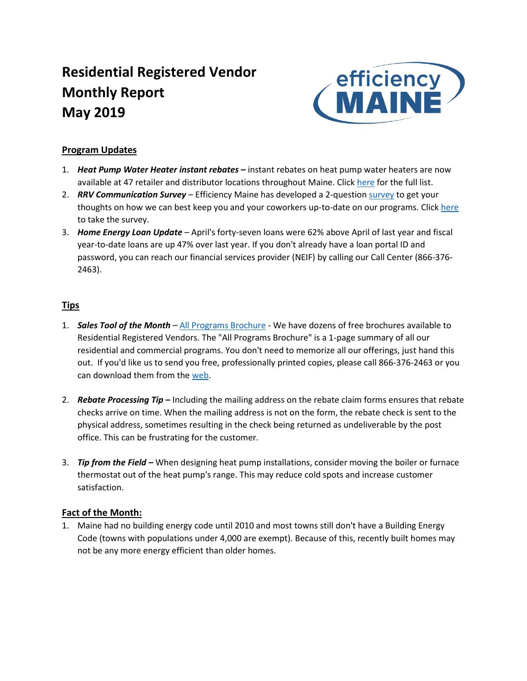# **Residential Registered Vendor Monthly Report May 2019**



## **Program Updates**

- 1. *Heat Pump Water Heater instant rebates* **–** instant rebates on heat pump water heaters are now available at 47 retailer and distributor locations throughout Maine. Click [here](https://www.efficiencymaine.com/docs/EM-HPWH-Instant-Rebate-Locations.pdf) for the full list.
- 2. *RRV Communication Survey*  Efficiency Maine has developed a 2-questio[n survey](https://www.research.net/r/F3JKTVJ) to get your thoughts on how we can best keep you and your coworkers up-to-date on our programs. Clic[k here](https://www.research.net/r/F3JKTVJ) to take the survey.
- 3. *Home Energy Loan Update* April's forty-seven loans were 62% above April of last year and fiscal year-to-date loans are up 47% over last year. If you don't already have a loan portal ID and password, you can reach our financial services provider (NEIF) by calling our Call Center (866-376- 2463).

## **Tips**

- 1. *Sales Tool of the Month* [All Programs Brochure](https://www.efficiencymaine.com/docs/All-Programs-Brochure.pdf) We have dozens of free brochures available to Residential Registered Vendors. The "All Programs Brochure" is a 1-page summary of all our residential and commercial programs. You don't need to memorize all our offerings, just hand this out. If you'd like us to send you free, professionally printed copies, please call 866-376-2463 or you can download them from the [web.](https://www.efficiencymaine.com/docs/All-Programs-Brochure.pdf)
- 2. *Rebate Processing Tip* **–** Including the mailing address on the rebate claim forms ensures that rebate checks arrive on time. When the mailing address is not on the form, the rebate check is sent to the physical address, sometimes resulting in the check being returned as undeliverable by the post office. This can be frustrating for the customer.
- 3. *Tip from the Field –* When designing heat pump installations, consider moving the boiler or furnace thermostat out of the heat pump's range. This may reduce cold spots and increase customer satisfaction.

## **Fact of the Month:**

1. Maine had no building energy code until 2010 and most towns still don't have a Building Energy Code (towns with populations under 4,000 are exempt). Because of this, recently built homes may not be any more energy efficient than older homes.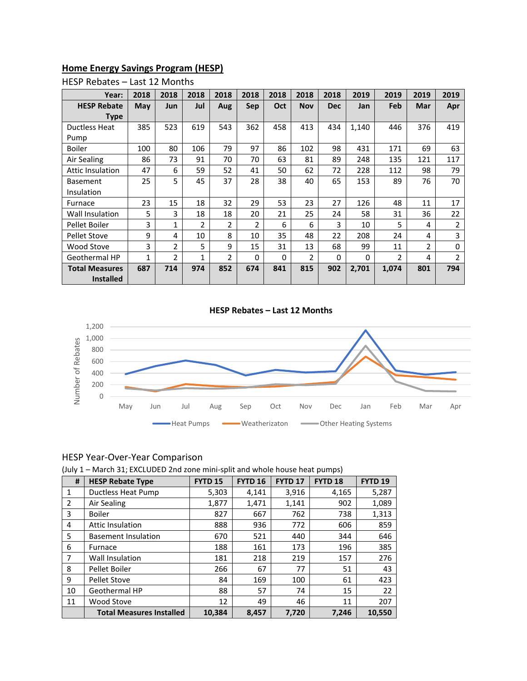## **Home Energy Savings Program (HESP)**

| Year:                 | 2018 | 2018           | 2018           | 2018           | 2018           | 2018     | 2018       | 2018       | 2019     | 2019          | 2019           | 2019           |
|-----------------------|------|----------------|----------------|----------------|----------------|----------|------------|------------|----------|---------------|----------------|----------------|
| <b>HESP Rebate</b>    | May  | Jun            | Jul            | Aug            | Sep            | Oct      | <b>Nov</b> | <b>Dec</b> | Jan      | Feb           | Mar            | Apr            |
| Type                  |      |                |                |                |                |          |            |            |          |               |                |                |
| Ductless Heat         | 385  | 523            | 619            | 543            | 362            | 458      | 413        | 434        | 1,140    | 446           | 376            | 419            |
| Pump                  |      |                |                |                |                |          |            |            |          |               |                |                |
| <b>Boiler</b>         | 100  | 80             | 106            | 79             | 97             | 86       | 102        | 98         | 431      | 171           | 69             | 63             |
| Air Sealing           | 86   | 73             | 91             | 70             | 70             | 63       | 81         | 89         | 248      | 135           | 121            | 117            |
| Attic Insulation      | 47   | 6              | 59             | 52             | 41             | 50       | 62         | 72         | 228      | 112           | 98             | 79             |
| <b>Basement</b>       | 25   | 5              | 45             | 37             | 28             | 38       | 40         | 65         | 153      | 89            | 76             | 70             |
| Insulation            |      |                |                |                |                |          |            |            |          |               |                |                |
| Furnace               | 23   | 15             | 18             | 32             | 29             | 53       | 23         | 27         | 126      | 48            | 11             | 17             |
| Wall Insulation       | 5    | 3              | 18             | 18             | 20             | 21       | 25         | 24         | 58       | 31            | 36             | 22             |
| Pellet Boiler         | 3    | $\mathbf{1}$   | $\overline{2}$ | $\overline{2}$ | $\overline{2}$ | 6        | 6          | 3          | 10       | 5             | 4              | $\overline{2}$ |
| <b>Pellet Stove</b>   | 9    | 4              | 10             | 8              | 10             | 35       | 48         | 22         | 208      | 24            | 4              | 3              |
| <b>Wood Stove</b>     | 3    | $\overline{2}$ | 5              | 9              | 15             | 31       | 13         | 68         | 99       | 11            | $\overline{2}$ | 0              |
| Geothermal HP         | 1    | $\overline{2}$ | 1              | $\overline{2}$ | 0              | $\Omega$ | 2          | 0          | $\Omega$ | $\mathfrak z$ | 4              | $\mathfrak{p}$ |
| <b>Total Measures</b> | 687  | 714            | 974            | 852            | 674            | 841      | 815        | 902        | 2,701    | 1,074         | 801            | 794            |
| <b>Installed</b>      |      |                |                |                |                |          |            |            |          |               |                |                |

### HESP Rebates – Last 12 Months

#### **HESP Rebates – Last 12 Months**



#### HESP Year-Over-Year Comparison

(July 1 – March 31; EXCLUDED 2nd zone mini-split and whole house heat pumps)

| #            | <b>HESP Rebate Type</b>         | <b>FYTD 15</b> | <b>FYTD 16</b> | <b>FYTD 17</b> | <b>FYTD 18</b> | FYTD <sub>19</sub> |
|--------------|---------------------------------|----------------|----------------|----------------|----------------|--------------------|
| $\mathbf{1}$ | Ductless Heat Pump              | 5,303          | 4,141          | 3,916          | 4,165          | 5,287              |
| 2            | Air Sealing                     | 1,877          | 1,471          | 1,141          | 902            | 1,089              |
| 3            | <b>Boiler</b>                   | 827            | 667            | 762            | 738            | 1,313              |
| 4            | <b>Attic Insulation</b>         | 888            | 936            | 772            | 606            | 859                |
| 5            | <b>Basement Insulation</b>      | 670            | 521            | 440            | 344            | 646                |
| 6            | <b>Furnace</b>                  | 188            | 161            | 173            | 196            | 385                |
| 7            | Wall Insulation                 | 181            | 218            | 219            | 157            | 276                |
| 8            | Pellet Boiler                   | 266            | 67             | 77             | 51             | 43                 |
| 9            | <b>Pellet Stove</b>             | 84             | 169            | 100            | 61             | 423                |
| 10           | Geothermal HP                   | 88             | 57             | 74             | 15             | 22                 |
| 11           | Wood Stove                      | 12             | 49             | 46             | 11             | 207                |
|              | <b>Total Measures Installed</b> | 10,384         | 8.457          | 7.720          | 7,246          | 10.550             |